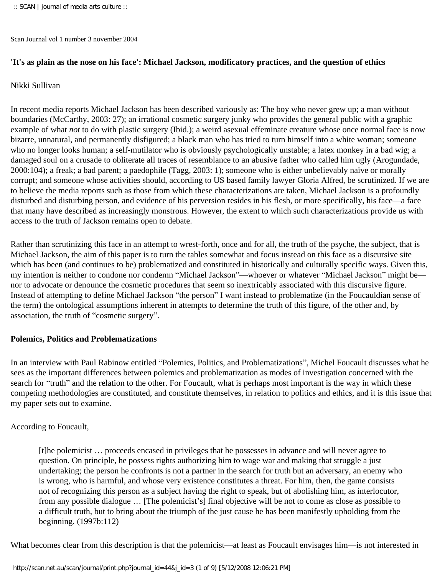Scan Journal vol 1 number 3 november 2004

### **'It's as plain as the nose on his face': Michael Jackson, modificatory practices, and the question of ethics**

#### Nikki Sullivan

In recent media reports Michael Jackson has been described variously as: The boy who never grew up; a man without boundaries (McCarthy, 2003: 27); an irrational cosmetic surgery junky who provides the general public with a graphic example of what *not* to do with plastic surgery (Ibid.); a weird asexual effeminate creature whose once normal face is now bizarre, unnatural, and permanently disfigured; a black man who has tried to turn himself into a white woman; someone who no longer looks human; a self-mutilator who is obviously psychologically unstable; a latex monkey in a bad wig; a damaged soul on a crusade to obliterate all traces of resemblance to an abusive father who called him ugly (Arogundade, 2000:104); a freak; a bad parent; a paedophile (Tagg, 2003: 1); someone who is either unbelievably naïve or morally corrupt; and someone whose activities should, according to US based family lawyer Gloria Alfred, be scrutinized. If we are to believe the media reports such as those from which these characterizations are taken, Michael Jackson is a profoundly disturbed and disturbing person, and evidence of his perversion resides in his flesh, or more specifically, his face—a face that many have described as increasingly monstrous. However, the extent to which such characterizations provide us with access to the truth of Jackson remains open to debate.

Rather than scrutinizing this face in an attempt to wrest-forth, once and for all, the truth of the psyche, the subject, that is Michael Jackson, the aim of this paper is to turn the tables somewhat and focus instead on this face as a discursive site which has been (and continues to be) problematized and constituted in historically and culturally specific ways. Given this, my intention is neither to condone nor condemn "Michael Jackson"—whoever or whatever "Michael Jackson" might be nor to advocate or denounce the cosmetic procedures that seem so inextricably associated with this discursive figure. Instead of attempting to define Michael Jackson "the person" I want instead to problematize (in the Foucauldian sense of the term) the ontological assumptions inherent in attempts to determine the truth of this figure, of the other and, by association, the truth of "cosmetic surgery".

#### **Polemics, Politics and Problematizations**

In an interview with Paul Rabinow entitled "Polemics, Politics, and Problematizations", Michel Foucault discusses what he sees as the important differences between polemics and problematization as modes of investigation concerned with the search for "truth" and the relation to the other. For Foucault, what is perhaps most important is the way in which these competing methodologies are constituted, and constitute themselves, in relation to politics and ethics, and it is this issue that my paper sets out to examine.

#### According to Foucault,

[t]he polemicist … proceeds encased in privileges that he possesses in advance and will never agree to question. On principle, he possess rights authorizing him to wage war and making that struggle a just undertaking; the person he confronts is not a partner in the search for truth but an adversary, an enemy who is wrong, who is harmful, and whose very existence constitutes a threat. For him, then, the game consists not of recognizing this person as a subject having the right to speak, but of abolishing him, as interlocutor, from any possible dialogue … [The polemicist's] final objective will be not to come as close as possible to a difficult truth, but to bring about the triumph of the just cause he has been manifestly upholding from the beginning. (1997b:112)

What becomes clear from this description is that the polemicist—at least as Foucault envisages him—is not interested in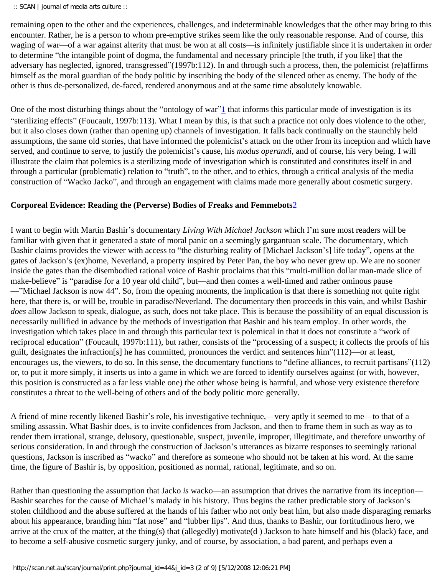remaining open to the other and the experiences, challenges, and indeterminable knowledges that the other may bring to this encounter. Rather, he is a person to whom pre-emptive strikes seem like the only reasonable response. And of course, this waging of war—of a war against alterity that must be won at all costs—is infinitely justifiable since it is undertaken in order to determine "the intangible point of dogma, the fundamental and necessary principle [the truth, if you like] that the adversary has neglected, ignored, transgressed"(1997b:112). In and through such a process, then, the polemicist (re)affirms himself as the moral guardian of the body politic by inscribing the body of the silenced other as enemy. The body of the other is thus de-personalized, de-faced, rendered anonymous and at the same time absolutely knowable.

<span id="page-1-0"></span>One of the most disturbing things about the "ontology of war" $\frac{1}{2}$  that informs this particular mode of investigation is its "sterilizing effects" (Foucault, 1997b:113). What I mean by this, is that such a practice not only does violence to the other, but it also closes down (rather than opening up) channels of investigation. It falls back continually on the staunchly held assumptions, the same old stories, that have informed the polemicist's attack on the other from its inception and which have served, and continue to serve, to justify the polemicist's cause, his *modus operandi*, and of course, his very being. I will illustrate the claim that polemics is a sterilizing mode of investigation which is constituted and constitutes itself in and through a particular (problematic) relation to "truth", to the other, and to ethics, through a critical analysis of the media construction of "Wacko Jacko", and through an engagement with claims made more generally about cosmetic surgery.

### <span id="page-1-1"></span>**Corporeal Evidence: Reading the (Perverse) Bodies of Freaks and Femmebots**[2](#page-7-1)

I want to begin with Martin Bashir's documentary *Living With Michael Jackson* which I'm sure most readers will be familiar with given that it generated a state of moral panic on a seemingly gargantuan scale. The documentary, which Bashir claims provides the viewer with access to "the disturbing reality of [Michael Jackson's] life today", opens at the gates of Jackson's (ex)home, Neverland, a property inspired by Peter Pan, the boy who never grew up. We are no sooner inside the gates than the disembodied rational voice of Bashir proclaims that this "multi-million dollar man-made slice of make-believe" is "paradise for a 10 year old child", but—and then comes a well-timed and rather ominous pause —"Michael Jackson is now 44". So, from the opening moments, the implication is that there is something not quite right here, that there is, or will be, trouble in paradise/Neverland. The documentary then proceeds in this vain, and whilst Bashir *does* allow Jackson to speak, dialogue, as such, does not take place. This is because the possibility of an equal discussion is necessarily nullified in advance by the methods of investigation that Bashir and his team employ. In other words, the investigation which takes place in and through this particular text is polemical in that it does not constitute a "work of reciprocal education" (Foucault, 1997b:111), but rather, consists of the "processing of a suspect; it collects the proofs of his guilt, designates the infraction[s] he has committed, pronounces the verdict and sentences him"(112)—or at least, encourages us, the viewers, to do so. In this sense, the documentary functions to "define alliances, to recruit partisans"(112) or, to put it more simply, it inserts us into a game in which we are forced to identify ourselves against (or with, however, this position is constructed as a far less viable one) the other whose being is harmful, and whose very existence therefore constitutes a threat to the well-being of others and of the body politic more generally.

A friend of mine recently likened Bashir's role, his investigative technique,—very aptly it seemed to me—to that of a smiling assassin. What Bashir does, is to invite confidences from Jackson, and then to frame them in such as way as to render them irrational, strange, delusory, questionable, suspect, juvenile, improper, illegitimate, and therefore unworthy of serious consideration. In and through the construction of Jackson's utterances as bizarre responses to seemingly rational questions, Jackson is inscribed as "wacko" and therefore as someone who should not be taken at his word. At the same time, the figure of Bashir is, by opposition, positioned as normal, rational, legitimate, and so on.

Rather than questioning the assumption that Jacko *is* wacko—an assumption that drives the narrative from its inception— Bashir searches for the cause of Michael's malady in his history. Thus begins the rather predictable story of Jackson's stolen childhood and the abuse suffered at the hands of his father who not only beat him, but also made disparaging remarks about his appearance, branding him "fat nose" and "lubber lips". And thus, thanks to Bashir, our fortitudinous hero, we arrive at the crux of the matter, at the thing(s) that (allegedly) motivate(d ) Jackson to hate himself and his (black) face, and to become a self-abusive cosmetic surgery junky, and of course, by association, a bad parent, and perhaps even a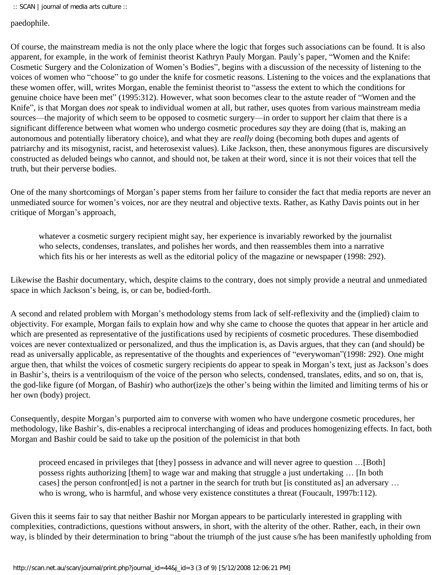paedophile.

Of course, the mainstream media is not the only place where the logic that forges such associations can be found. It is also apparent, for example, in the work of feminist theorist Kathryn Pauly Morgan. Pauly's paper, "Women and the Knife: Cosmetic Surgery and the Colonization of Women's Bodies", begins with a discussion of the necessity of listening to the voices of women who "choose" to go under the knife for cosmetic reasons. Listening to the voices and the explanations that these women offer, will, writes Morgan, enable the feminist theorist to "assess the extent to which the conditions for genuine choice have been met" (1995:312). However, what soon becomes clear to the astute reader of "Women and the Knife", is that Morgan does *not* speak to individual women at all, but rather, uses quotes from various mainstream media sources—the majority of which seem to be opposed to cosmetic surgery—in order to support her claim that there is a significant difference between what women who undergo cosmetic procedures *say* they are doing (that is, making an autonomous and potentially liberatory choice), and what they are *really* doing (becoming both dupes and agents of patriarchy and its misogynist, racist, and heterosexist values). Like Jackson, then, these anonymous figures are discursively constructed as deluded beings who cannot, and should not, be taken at their word, since it is not their voices that tell the truth, but their perverse bodies.

One of the many shortcomings of Morgan's paper stems from her failure to consider the fact that media reports are never an unmediated source for women's voices, nor are they neutral and objective texts. Rather, as Kathy Davis points out in her critique of Morgan's approach,

whatever a cosmetic surgery recipient might say, her experience is invariably reworked by the journalist who selects, condenses, translates, and polishes her words, and then reassembles them into a narrative which fits his or her interests as well as the editorial policy of the magazine or newspaper (1998: 292).

Likewise the Bashir documentary, which, despite claims to the contrary, does not simply provide a neutral and unmediated space in which Jackson's being, is, or can be, bodied-forth.

A second and related problem with Morgan's methodology stems from lack of self-reflexivity and the (implied) claim to objectivity. For example, Morgan fails to explain how and why she came to choose the quotes that appear in her article and which are presented as representative of the justifications used by recipients of cosmetic procedures. These disembodied voices are never contextualized or personalized, and thus the implication is, as Davis argues, that they can (and should) be read as universally applicable, as representative of the thoughts and experiences of "everywoman"(1998: 292). One might argue then, that whilst the voices of cosmetic surgery recipients do appear to speak in Morgan's text, just as Jackson's does in Bashir's, theirs is a ventriloquism of the voice of the person who selects, condensed, translates, edits, and so on, that is, the god-like figure (of Morgan, of Bashir) who author(ize)s the other's being within the limited and limiting terms of his or her own (body) project.

Consequently, despite Morgan's purported aim to converse with women who have undergone cosmetic procedures, her methodology, like Bashir's, dis-enables a reciprocal interchanging of ideas and produces homogenizing effects. In fact, both Morgan and Bashir could be said to take up the position of the polemicist in that both

proceed encased in privileges that [they] possess in advance and will never agree to question …[Both] possess rights authorizing [them] to wage war and making that struggle a just undertaking … [In both cases] the person confront[ed] is not a partner in the search for truth but [is constituted as] an adversary … who is wrong, who is harmful, and whose very existence constitutes a threat (Foucault, 1997b:112).

Given this it seems fair to say that neither Bashir nor Morgan appears to be particularly interested in grappling with complexities, contradictions, questions without answers, in short, with the alterity of the other. Rather, each, in their own way, is blinded by their determination to bring "about the triumph of the just cause s/he has been manifestly upholding from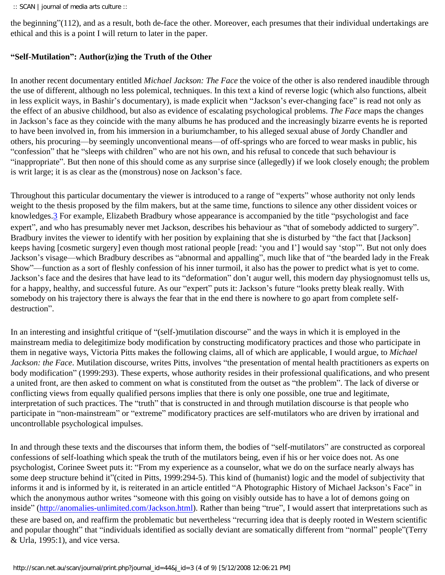:: SCAN | journal of media arts culture ::

the beginning"(112), and as a result, both de-face the other. Moreover, each presumes that their individual undertakings are ethical and this is a point I will return to later in the paper.

# **"Self-Mutilation": Author(iz)ing the Truth of the Other**

In another recent documentary entitled *Michael Jackson: The Face* the voice of the other is also rendered inaudible through the use of different, although no less polemical, techniques. In this text a kind of reverse logic (which also functions, albeit in less explicit ways, in Bashir's documentary), is made explicit when "Jackson's ever-changing face" is read not only as the effect of an abusive childhood, but also as evidence of escalating psychological problems. *The Face* maps the changes in Jackson's face as they coincide with the many albums he has produced and the increasingly bizarre events he is reported to have been involved in, from his immersion in a buriumchamber, to his alleged sexual abuse of Jordy Chandler and others, his procuring—by seemingly unconventional means—of off-springs who are forced to wear masks in public, his "confession" that he "sleeps with children" who are not his own, and his refusal to concede that such behaviour is "inappropriate". But then none of this should come as any surprise since (allegedly) if we look closely enough; the problem is writ large; it is as clear as the (monstrous) nose on Jackson's face.

<span id="page-3-0"></span>Throughout this particular documentary the viewer is introduced to a range of "experts" whose authority not only lends weight to the thesis proposed by the film makers, but at the same time, functions to silence any other dissident voices or knowledges[.3](#page-7-2) For example, Elizabeth Bradbury whose appearance is accompanied by the title "psychologist and face expert", and who has presumably never met Jackson, describes his behaviour as "that of somebody addicted to surgery". Bradbury invites the viewer to identify with her position by explaining that she is disturbed by "the fact that [Jackson] keeps having [cosmetic surgery] even though most rational people [read: 'you and I'] would say 'stop'". But not only does Jackson's visage—which Bradbury describes as "abnormal and appalling", much like that of "the bearded lady in the Freak Show"—function as a sort of fleshly confession of his inner turmoil, it also has the power to predict what is yet to come. Jackson's face and the desires that have lead to its "deformation" don't augur well, this modern day physiognomust tells us, for a happy, healthy, and successful future. As our "expert" puts it: Jackson's future "looks pretty bleak really. With somebody on his trajectory there is always the fear that in the end there is nowhere to go apart from complete selfdestruction".

In an interesting and insightful critique of "(self-)mutilation discourse" and the ways in which it is employed in the mainstream media to delegitimize body modification by constructing modificatory practices and those who participate in them in negative ways, Victoria Pitts makes the following claims, all of which are applicable, I would argue, to *Michael Jackson: the Face*. Mutilation discourse, writes Pitts, involves "the presentation of mental health practitioners as experts on body modification" (1999:293). These experts, whose authority resides in their professional qualifications, and who present a united front, are then asked to comment on what is constituted from the outset as "the problem". The lack of diverse or conflicting views from equally qualified persons implies that there is only one possible, one true and legitimate, interpretation of such practices. The "truth" that is constructed in and through mutilation discourse is that people who participate in "non-mainstream" or "extreme" modificatory practices are self-mutilators who are driven by irrational and uncontrollable psychological impulses.

In and through these texts and the discourses that inform them, the bodies of "self-mutilators" are constructed as corporeal confessions of self-loathing which speak the truth of the mutilators being, even if his or her voice does not. As one psychologist, Corinee Sweet puts it: "From my experience as a counselor, what we do on the surface nearly always has some deep structure behind it"(cited in Pitts, 1999:294-5). This kind of (humanist) logic and the model of subjectivity that informs it and is informed by it, is reiterated in an article entitled "A Photographic History of Michael Jackson's Face" in which the anonymous author writes "someone with this going on visibly outside has to have a lot of demons going on inside" [\(http://anomalies-unlimited.com/Jackson.html\)](http://anomalies-unlimited.com/Jackson.html). Rather than being "true", I would assert that interpretations such as these are based on, and reaffirm the problematic but nevertheless "recurring idea that is deeply rooted in Western scientific and popular thought" that "individuals identified as socially deviant are somatically different from "normal" people"(Terry & Urla, 1995:1), and vice versa.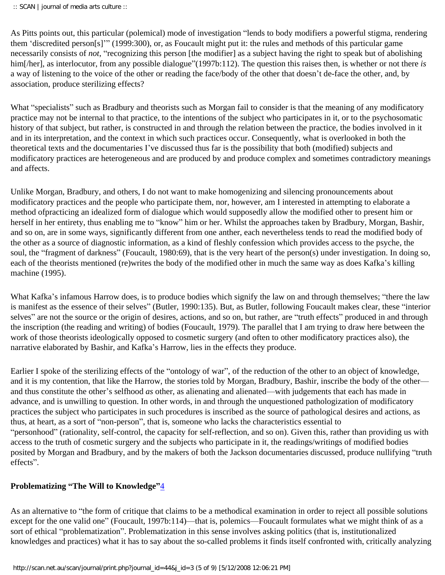As Pitts points out, this particular (polemical) mode of investigation "lends to body modifiers a powerful stigma, rendering them 'discredited person[s]'" (1999:300), or, as Foucault might put it: the rules and methods of this particular game necessarily consists of *not*, "recognizing this person [the modifier] as a subject having the right to speak but of abolishing him[/her], as interlocutor, from any possible dialogue"(1997b:112). The question this raises then, is whether or not there *is* a way of listening to the voice of the other or reading the face/body of the other that doesn't de-face the other, and, by association, produce sterilizing effects?

What "specialists" such as Bradbury and theorists such as Morgan fail to consider is that the meaning of any modificatory practice may not be internal to that practice, to the intentions of the subject who participates in it, or to the psychosomatic history of that subject, but rather, is constructed in and through the relation between the practice, the bodies involved in it and in its interpretation, and the context in which such practices occur. Consequently, what is overlooked in both the theoretical texts and the documentaries I've discussed thus far is the possibility that both (modified) subjects and modificatory practices are heterogeneous and are produced by and produce complex and sometimes contradictory meanings and affects.

Unlike Morgan, Bradbury, and others, I do not want to make homogenizing and silencing pronouncements about modificatory practices and the people who participate them, nor, however, am I interested in attempting to elaborate a method ofpracticing an idealized form of dialogue which would supposedly allow the modified other to present him or herself in her entirety, thus enabling me to "know" him or her. Whilst the approaches taken by Bradbury, Morgan, Bashir, and so on, are in some ways, significantly different from one anther, each nevertheless tends to read the modified body of the other as a source of diagnostic information, as a kind of fleshly confession which provides access to the psyche, the soul, the "fragment of darkness" (Foucault, 1980:69), that is the very heart of the person(s) under investigation. In doing so, each of the theorists mentioned (re)writes the body of the modified other in much the same way as does Kafka's killing machine (1995).

What Kafka's infamous Harrow does, is to produce bodies which signify the law on and through themselves; "there the law is manifest as the essence of their selves" (Butler, 1990:135). But, as Butler, following Foucault makes clear, these "interior selves" are not the source or the origin of desires, actions, and so on, but rather, are "truth effects" produced in and through the inscription (the reading and writing) of bodies (Foucault, 1979). The parallel that I am trying to draw here between the work of those theorists ideologically opposed to cosmetic surgery (and often to other modificatory practices also), the narrative elaborated by Bashir, and Kafka's Harrow, lies in the effects they produce.

Earlier I spoke of the sterilizing effects of the "ontology of war", of the reduction of the other to an object of knowledge, and it is my contention, that like the Harrow, the stories told by Morgan, Bradbury, Bashir, inscribe the body of the other and thus constitute the other's selfhood *as* other, as alienating and alienated—with judgements that each has made in advance, and is unwilling to question. In other words, in and through the unquestioned pathologization of modificatory practices the subject who participates in such procedures is inscribed as the source of pathological desires and actions, as thus, at heart, as a sort of "non-person", that is, someone who lacks the characteristics essential to "personhood" (rationality, self-control, the capacity for self-reflection, and so on). Given this, rather than providing us with access to the truth of cosmetic surgery and the subjects who participate in it, the readings/writings of modified bodies posited by Morgan and Bradbury, and by the makers of both the Jackson documentaries discussed, produce nullifying "truth effects".

# <span id="page-4-0"></span>**Problematizing "The Will to Knowledge"**[4](#page-8-0)

As an alternative to "the form of critique that claims to be a methodical examination in order to reject all possible solutions except for the one valid one" (Foucault, 1997b:114)—that is, polemics—Foucault formulates what we might think of as a sort of ethical "problematization". Problematization in this sense involves asking politics (that is, institutionalized knowledges and practices) what it has to say about the so-called problems it finds itself confronted with, critically analyzing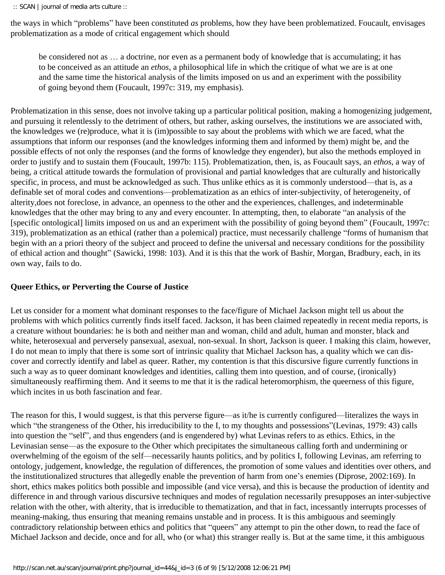the ways in which "problems" have been constituted *as* problems, how they have been problematized. Foucault, envisages problematization as a mode of critical engagement which should

be considered not as … a doctrine, nor even as a permanent body of knowledge that is accumulating; it has to be conceived as an attitude an *ethos*, a philosophical life in which the critique of what we are is at one and the same time the historical analysis of the limits imposed on us and an experiment with the possibility of going beyond them (Foucault, 1997c: 319, my emphasis).

Problematization in this sense, does not involve taking up a particular political position, making a homogenizing judgement, and pursuing it relentlessly to the detriment of others, but rather, asking ourselves, the institutions we are associated with, the knowledges we (re)produce, what it is (im)possible to say about the problems with which we are faced, what the assumptions that inform our responses (and the knowledges informing them and informed by them) might be, and the possible effects of not only the responses (and the forms of knowledge they engender), but also the methods employed in order to justify and to sustain them (Foucault, 1997b: 115). Problematization, then, is, as Foucault says, an *ethos*, a way of being, a critical attitude towards the formulation of provisional and partial knowledges that are culturally and historically specific, in process, and must be acknowledged as such. Thus unlike ethics as it is commonly understood—that is, as a definable set of moral codes and conventions—problematization as an ethics of inter-subjectivity, of heterogeneity, of alterity,does not foreclose, in advance, an openness to the other and the experiences, challenges, and indeterminable knowledges that the other may bring to any and every encounter. In attempting, then, to elaborate "an analysis of the [specific ontological] limits imposed on us and an experiment with the possibility of going beyond them" (Foucault, 1997c: 319), problematization as an ethical (rather than a polemical) practice, must necessarily challenge "forms of humanism that begin with an a priori theory of the subject and proceed to define the universal and necessary conditions for the possibility of ethical action and thought" (Sawicki, 1998: 103). And it is this that the work of Bashir, Morgan, Bradbury, each, in its own way, fails to do.

# **Queer Ethics, or Perverting the Course of Justice**

Let us consider for a moment what dominant responses to the face/figure of Michael Jackson might tell us about the problems with which politics currently finds itself faced. Jackson, it has been claimed repeatedly in recent media reports, is a creature without boundaries: he is both and neither man and woman, child and adult, human and monster, black and white, heterosexual and perversely pansexual, asexual, non-sexual. In short, Jackson is queer. I making this claim, however, I do not mean to imply that there is some sort of intrinsic quality that Michael Jackson has, a quality which we can discover and correctly identify and label as queer. Rather, my contention is that this discursive figure currently functions in such a way as to queer dominant knowledges and identities, calling them into question, and of course, (ironically) simultaneously reaffirming them. And it seems to me that it is the radical heteromorphism, the queerness of this figure, which incites in us both fascination and fear.

The reason for this, I would suggest, is that this perverse figure—as it/he is currently configured—literalizes the ways in which "the strangeness of the Other, his irreducibility to the I, to my thoughts and possessions"(Levinas, 1979: 43) calls into question the "self", and thus engenders (and is engendered by) what Levinas refers to as ethics. Ethics, in the Levinasian sense—as the exposure to the Other which precipitates the simultaneous calling forth and undermining or overwhelming of the egoism of the self—necessarily haunts politics, and by politics I, following Levinas, am referring to ontology, judgement, knowledge, the regulation of differences, the promotion of some values and identities over others, and the institutionalized structures that allegedly enable the prevention of harm from one's enemies (Diprose, 2002:169). In short, ethics makes politics both possible and impossible (and vice versa), and this is because the production of identity and difference in and through various discursive techniques and modes of regulation necessarily presupposes an inter-subjective relation with the other, with alterity, that is irreducible to thematization, and that in fact, incessantly interrupts processes of meaning-making, thus ensuring that meaning remains unstable and in process. It is this ambiguous and seemingly contradictory relationship between ethics and politics that "queers" any attempt to pin the other down, to read the face of Michael Jackson and decide, once and for all, who (or what) this stranger really is. But at the same time, it this ambiguous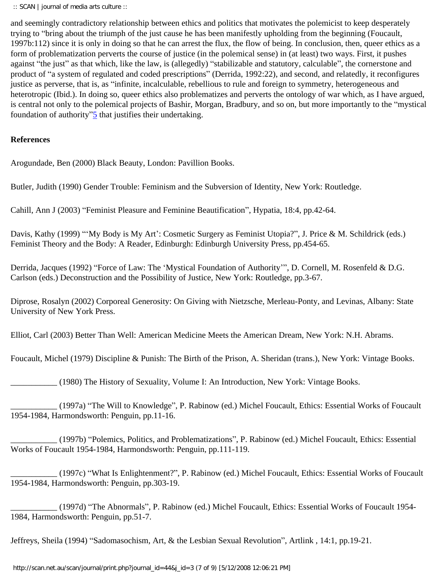and seemingly contradictory relationship between ethics and politics that motivates the polemicist to keep desperately trying to "bring about the triumph of the just cause he has been manifestly upholding from the beginning (Foucault, 1997b:112) since it is only in doing so that he can arrest the flux, the flow of being. In conclusion, then, queer ethics as a form of problematization perverts the course of justice (in the polemical sense) in (at least) two ways. First, it pushes against "the just" as that which, like the law, is (allegedly) "stabilizable and statutory, calculable", the cornerstone and product of "a system of regulated and coded prescriptions" (Derrida, 1992:22), and second, and relatedly, it reconfigures justice as perverse, that is, as "infinite, incalculable, rebellious to rule and foreign to symmetry, heterogeneous and heterotropic (Ibid.). In doing so, queer ethics also problematizes and perverts the ontology of war which, as I have argued, is central not only to the polemical projects of Bashir, Morgan, Bradbury, and so on, but more importantly to the "mystical foundation of authority" $\frac{5}{2}$  that justifies their undertaking.

### <span id="page-6-0"></span>**References**

Arogundade, Ben (2000) Black Beauty, London: Pavillion Books.

Butler, Judith (1990) Gender Trouble: Feminism and the Subversion of Identity, New York: Routledge.

Cahill, Ann J (2003) "Feminist Pleasure and Feminine Beautification", Hypatia, 18:4, pp.42-64.

Davis, Kathy (1999) "'My Body is My Art': Cosmetic Surgery as Feminist Utopia?", J. Price & M. Schildrick (eds.) Feminist Theory and the Body: A Reader, Edinburgh: Edinburgh University Press, pp.454-65.

Derrida, Jacques (1992) "Force of Law: The 'Mystical Foundation of Authority'", D. Cornell, M. Rosenfeld & D.G. Carlson (eds.) Deconstruction and the Possibility of Justice, New York: Routledge, pp.3-67.

Diprose, Rosalyn (2002) Corporeal Generosity: On Giving with Nietzsche, Merleau-Ponty, and Levinas, Albany: State University of New York Press.

Elliot, Carl (2003) Better Than Well: American Medicine Meets the American Dream, New York: N.H. Abrams.

Foucault, Michel (1979) Discipline & Punish: The Birth of the Prison, A. Sheridan (trans.), New York: Vintage Books.

\_\_\_\_\_\_\_\_\_\_\_ (1980) The History of Sexuality, Volume I: An Introduction, New York: Vintage Books.

\_\_\_\_\_\_\_\_\_\_\_ (1997a) "The Will to Knowledge", P. Rabinow (ed.) Michel Foucault, Ethics: Essential Works of Foucault 1954-1984, Harmondsworth: Penguin, pp.11-16.

\_\_\_\_\_\_\_\_\_\_\_ (1997b) "Polemics, Politics, and Problematizations", P. Rabinow (ed.) Michel Foucault, Ethics: Essential Works of Foucault 1954-1984, Harmondsworth: Penguin, pp.111-119.

\_\_\_\_\_\_\_\_\_\_\_ (1997c) "What Is Enlightenment?", P. Rabinow (ed.) Michel Foucault, Ethics: Essential Works of Foucault 1954-1984, Harmondsworth: Penguin, pp.303-19.

\_\_\_\_\_\_\_\_\_\_\_ (1997d) "The Abnormals", P. Rabinow (ed.) Michel Foucault, Ethics: Essential Works of Foucault 1954- 1984, Harmondsworth: Penguin, pp.51-7.

Jeffreys, Sheila (1994) "Sadomasochism, Art, & the Lesbian Sexual Revolution", Artlink , 14:1, pp.19-21.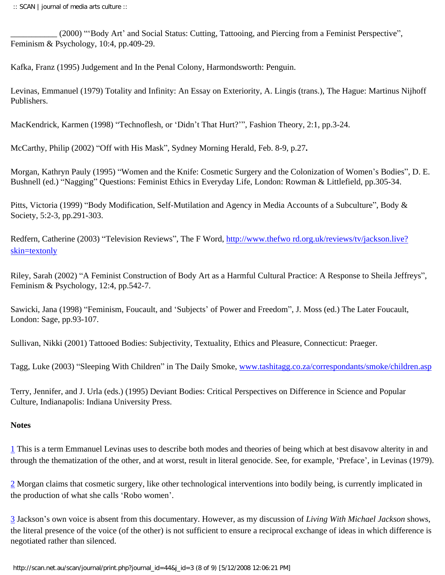\_\_\_\_\_\_\_\_\_\_\_ (2000) "'Body Art' and Social Status: Cutting, Tattooing, and Piercing from a Feminist Perspective", Feminism & Psychology, 10:4, pp.409-29.

Kafka, Franz (1995) Judgement and In the Penal Colony, Harmondsworth: Penguin.

Levinas, Emmanuel (1979) Totality and Infinity: An Essay on Exteriority, A. Lingis (trans.), The Hague: Martinus Nijhoff Publishers.

MacKendrick, Karmen (1998) "Technoflesh, or 'Didn't That Hurt?'", Fashion Theory, 2:1, pp.3-24.

McCarthy, Philip (2002) "Off with His Mask", Sydney Morning Herald, Feb. 8-9, p.27**.** 

Morgan, Kathryn Pauly (1995) "Women and the Knife: Cosmetic Surgery and the Colonization of Women's Bodies", D. E. Bushnell (ed.) "Nagging" Questions: Feminist Ethics in Everyday Life, London: Rowman & Littlefield, pp.305-34.

Pitts, Victoria (1999) "Body Modification, Self-Mutilation and Agency in Media Accounts of a Subculture", Body & Society, 5:2-3, pp.291-303.

Redfern, Catherine (2003) "Television Reviews", The F Word, [http://www.thefwo rd.org.uk/reviews/tv/jackson.live?](http://www.thefword.org.uk/reviews/tv/jackson.live?skin+textonly) [skin=textonly](http://www.thefword.org.uk/reviews/tv/jackson.live?skin+textonly)

Riley, Sarah (2002) "A Feminist Construction of Body Art as a Harmful Cultural Practice: A Response to Sheila Jeffreys", Feminism & Psychology, 12:4, pp.542-7.

Sawicki, Jana (1998) "Feminism, Foucault, and 'Subjects' of Power and Freedom", J. Moss (ed.) The Later Foucault, London: Sage, pp.93-107.

Sullivan, Nikki (2001) Tattooed Bodies: Subjectivity, Textuality, Ethics and Pleasure, Connecticut: Praeger.

Tagg, Luke (2003) "Sleeping With Children" in The Daily Smoke, [www.tashitagg.co.za/correspondants/smoke/children.asp](http://www.tashitagg.co.za/correspondants/smoke/children.asp)

Terry, Jennifer, and J. Urla (eds.) (1995) Deviant Bodies: Critical Perspectives on Difference in Science and Popular Culture, Indianapolis: Indiana University Press.

# **Notes**

<span id="page-7-0"></span>[1](#page-1-0) This is a term Emmanuel Levinas uses to describe both modes and theories of being which at best disavow alterity in and through the thematization of the other, and at worst, result in literal genocide. See, for example, 'Preface', in Levinas (1979).

<span id="page-7-1"></span>[2](#page-1-1) Morgan claims that cosmetic surgery, like other technological interventions into bodily being, is currently implicated in the production of what she calls 'Robo women'.

<span id="page-7-2"></span>[3](#page-3-0) Jackson's own voice is absent from this documentary. However, as my discussion of *Living With Michael Jackson* shows, the literal presence of the voice (of the other) is not sufficient to ensure a reciprocal exchange of ideas in which difference is negotiated rather than silenced.